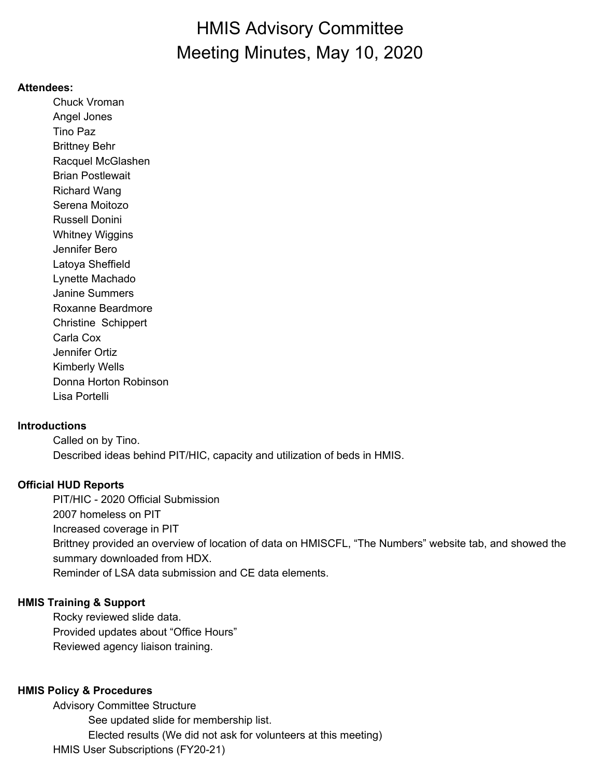# HMIS Advisory Committee Meeting Minutes, May 10, 2020

#### **Attendees:**

Chuck Vroman Angel Jones Tino Paz Brittney Behr Racquel McGlashen Brian Postlewait Richard Wang Serena Moitozo Russell Donini Whitney Wiggins Jennifer Bero Latoya Sheffield Lynette Machado Janine Summers Roxanne Beardmore Christine Schippert Carla Cox Jennifer Ortiz Kimberly Wells Donna Horton Robinson Lisa Portelli

#### **Introductions**

Called on by Tino. Described ideas behind PIT/HIC, capacity and utilization of beds in HMIS.

#### **Official HUD Reports**

PIT/HIC - 2020 Official Submission 2007 homeless on PIT Increased coverage in PIT Brittney provided an overview of location of data on HMISCFL, "The Numbers" website tab, and showed the summary downloaded from HDX. Reminder of LSA data submission and CE data elements.

#### **HMIS Training & Support**

Rocky reviewed slide data. Provided updates about "Office Hours" Reviewed agency liaison training.

### **HMIS Policy & Procedures**

Advisory Committee Structure See updated slide for membership list. Elected results (We did not ask for volunteers at this meeting) HMIS User Subscriptions (FY20-21)